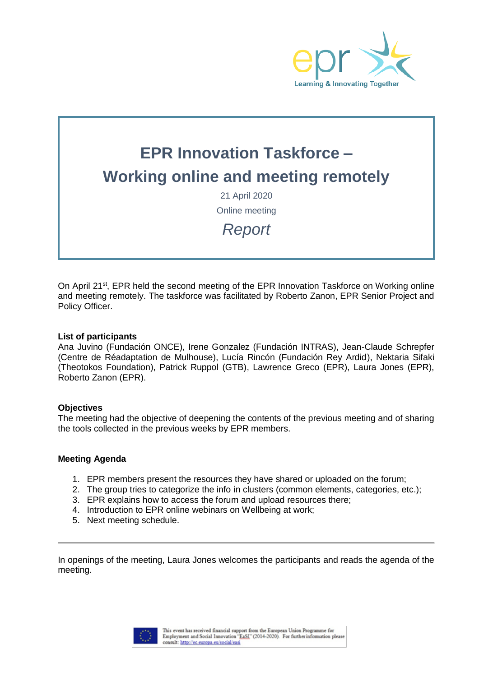

# **EPR Innovation Taskforce – Working online and meeting remotely**

21 April 2020 Online meeting

*Report*

On April 21<sup>st</sup>, EPR held the second meeting of the EPR Innovation Taskforce on Working online and meeting remotely. The taskforce was facilitated by Roberto Zanon, EPR Senior Project and Policy Officer.

#### **List of participants**

Ana Juvino (Fundación ONCE), Irene Gonzalez (Fundación INTRAS), Jean-Claude Schrepfer (Centre de Réadaptation de Mulhouse), Lucía Rincón (Fundación Rey Ardid), Nektaria Sifaki (Theotokos Foundation), Patrick Ruppol (GTB), Lawrence Greco (EPR), Laura Jones (EPR), Roberto Zanon (EPR).

#### **Objectives**

The meeting had the objective of deepening the contents of the previous meeting and of sharing the tools collected in the previous weeks by EPR members.

#### **Meeting Agenda**

- 1. EPR members present the resources they have shared or uploaded on the forum;
- 2. The group tries to categorize the info in clusters (common elements, categories, etc.);
- 3. EPR explains how to access the forum and upload resources there;
- 4. Introduction to EPR online webinars on Wellbeing at work;
- 5. Next meeting schedule.

In openings of the meeting, Laura Jones welcomes the participants and reads the agenda of the meeting.

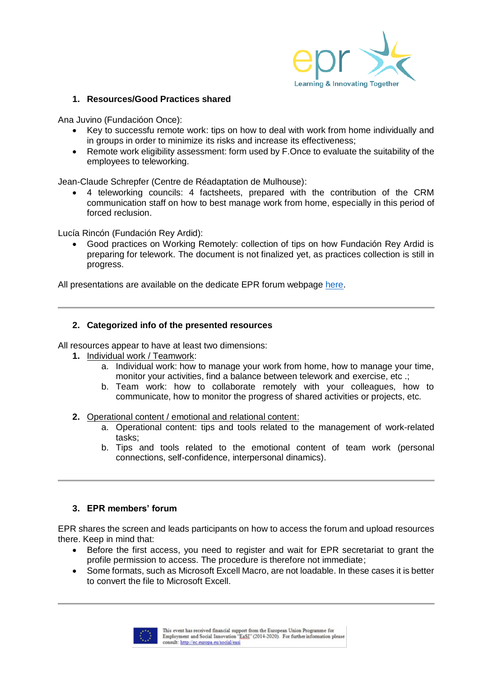

### **1. Resources/Good Practices shared**

Ana Juvino (Fundacióon Once):

- Key to successfu remote work: tips on how to deal with work from home individually and in groups in order to minimize its risks and increase its effectiveness;
- Remote work eligibility assessment: form used by F.Once to evaluate the suitability of the employees to teleworking.

Jean-Claude Schrepfer (Centre de Réadaptation de Mulhouse):

 4 teleworking councils: 4 factsheets, prepared with the contribution of the CRM communication staff on how to best manage work from home, especially in this period of forced reclusion.

Lucía Rincón (Fundación Rey Ardid):

 Good practices on Working Remotely: collection of tips on how Fundación Rey Ardid is preparing for telework. The document is not finalized yet, as practices collection is still in progress.

All presentations are available on the dedicate EPR forum webpage [here.](https://www.epr.eu/forums/forum/resources-on-online-meetings-and-events/?view=all)

# **2. Categorized info of the presented resources**

All resources appear to have at least two dimensions:

- **1.** Individual work / Teamwork:
	- a. Individual work: how to manage your work from home, how to manage your time, monitor your activities, find a balance between telework and exercise, etc .;
	- b. Team work: how to collaborate remotely with your colleagues, how to communicate, how to monitor the progress of shared activities or projects, etc.
- **2.** Operational content / emotional and relational content:
	- a. Operational content: tips and tools related to the management of work-related tasks;
	- b. Tips and tools related to the emotional content of team work (personal connections, self-confidence, interpersonal dinamics).

### **3. EPR members' forum**

EPR shares the screen and leads participants on how to access the forum and upload resources there. Keep in mind that:

- Before the first access, you need to register and wait for EPR secretariat to grant the profile permission to access. The procedure is therefore not immediate;
- Some formats, such as Microsoft Excell Macro, are not loadable. In these cases it is better to convert the file to Microsoft Excell.